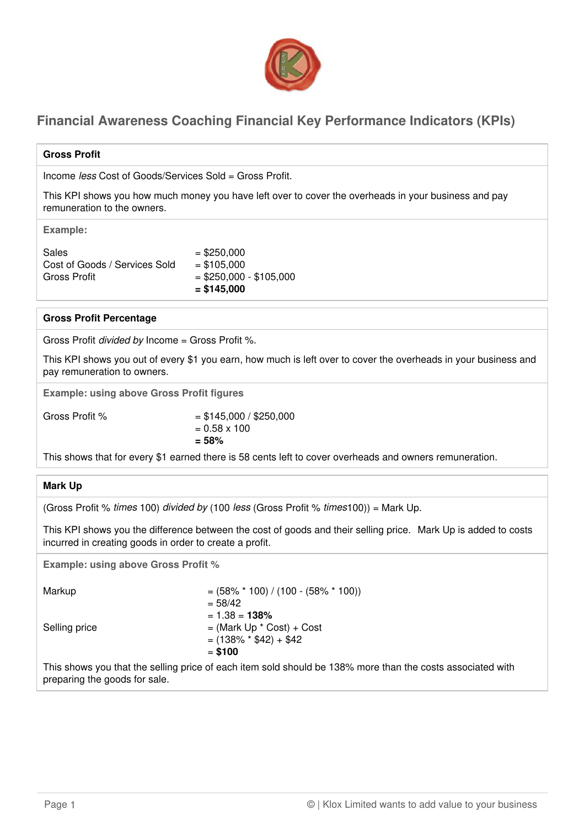

# **Financial Awareness Coaching Financial Key Performance Indicators (KPIs)**

| <b>Gross Profit</b>                                                                                                                                                       |                                                                                                            |  |
|---------------------------------------------------------------------------------------------------------------------------------------------------------------------------|------------------------------------------------------------------------------------------------------------|--|
| Income less Cost of Goods/Services Sold = Gross Profit.                                                                                                                   |                                                                                                            |  |
| This KPI shows you how much money you have left over to cover the overheads in your business and pay<br>remuneration to the owners.                                       |                                                                                                            |  |
| Example:                                                                                                                                                                  |                                                                                                            |  |
| Sales<br>Cost of Goods / Services Sold<br><b>Gross Profit</b>                                                                                                             | $= $250,000$<br>$= $105,000$<br>$= $250,000 - $105,000$<br>$= $145,000$                                    |  |
| <b>Gross Profit Percentage</b>                                                                                                                                            |                                                                                                            |  |
| Gross Profit divided by Income = Gross Profit %.                                                                                                                          |                                                                                                            |  |
| This KPI shows you out of every \$1 you earn, how much is left over to cover the overheads in your business and<br>pay remuneration to owners.                            |                                                                                                            |  |
| <b>Example: using above Gross Profit figures</b>                                                                                                                          |                                                                                                            |  |
| Gross Profit %                                                                                                                                                            | $=$ \$145,000 / \$250,000<br>$= 0.58 \times 100$<br>$= 58%$                                                |  |
| This shows that for every \$1 earned there is 58 cents left to cover overheads and owners remuneration.                                                                   |                                                                                                            |  |
| <b>Mark Up</b>                                                                                                                                                            |                                                                                                            |  |
| (Gross Profit % times 100) divided by (100 less (Gross Profit % times100)) = Mark Up.                                                                                     |                                                                                                            |  |
| This KPI shows you the difference between the cost of goods and their selling price. Mark Up is added to costs<br>incurred in creating goods in order to create a profit. |                                                                                                            |  |
| <b>Example: using above Gross Profit %</b>                                                                                                                                |                                                                                                            |  |
| Markup<br>Selling price                                                                                                                                                   | $=$ (58% $*$ 100) / (100 - (58% $*$ 100))<br>$= 58/42$<br>$= 1.38 = 138%$<br>$=$ (Mark Up $*$ Cost) + Cost |  |
|                                                                                                                                                                           | $= (138\% * $42) + $42$<br>$= $100$                                                                        |  |

This shows you that the selling price of each item sold should be 138% more than the costs associated with preparing the goods for sale.